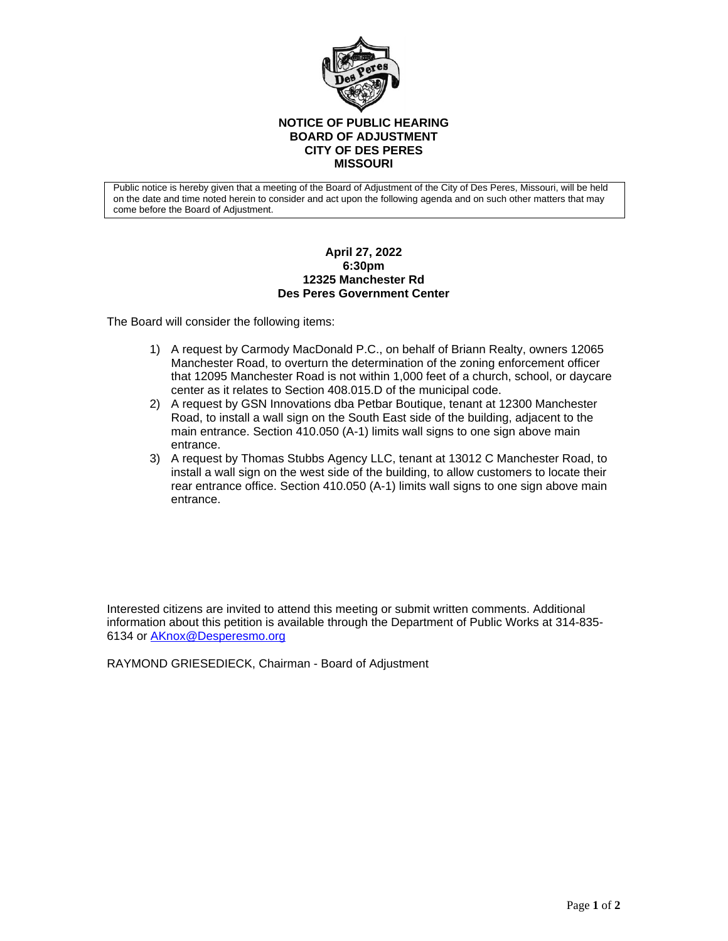

## **NOTICE OF PUBLIC HEARING BOARD OF ADJUSTMENT CITY OF DES PERES MISSOURI**

Public notice is hereby given that a meeting of the Board of Adjustment of the City of Des Peres, Missouri, will be held on the date and time noted herein to consider and act upon the following agenda and on such other matters that may come before the Board of Adjustment.

## **April 27, 2022 6:30pm 12325 Manchester Rd Des Peres Government Center**

The Board will consider the following items:

- 1) A request by Carmody MacDonald P.C., on behalf of Briann Realty, owners 12065 Manchester Road, to overturn the determination of the zoning enforcement officer that 12095 Manchester Road is not within 1,000 feet of a church, school, or daycare center as it relates to Section 408.015.D of the municipal code.
- 2) A request by GSN Innovations dba Petbar Boutique, tenant at 12300 Manchester Road, to install a wall sign on the South East side of the building, adjacent to the main entrance. Section 410.050 (A-1) limits wall signs to one sign above main entrance.
- 3) A request by Thomas Stubbs Agency LLC, tenant at 13012 C Manchester Road, to install a wall sign on the west side of the building, to allow customers to locate their rear entrance office. Section 410.050 (A-1) limits wall signs to one sign above main entrance.

Interested citizens are invited to attend this meeting or submit written comments. Additional information about this petition is available through the Department of Public Works at 314-835- 6134 or **[AKnox@Desperesmo.org](mailto:AKnox@Desperesmo.org)** 

RAYMOND GRIESEDIECK, Chairman - Board of Adjustment